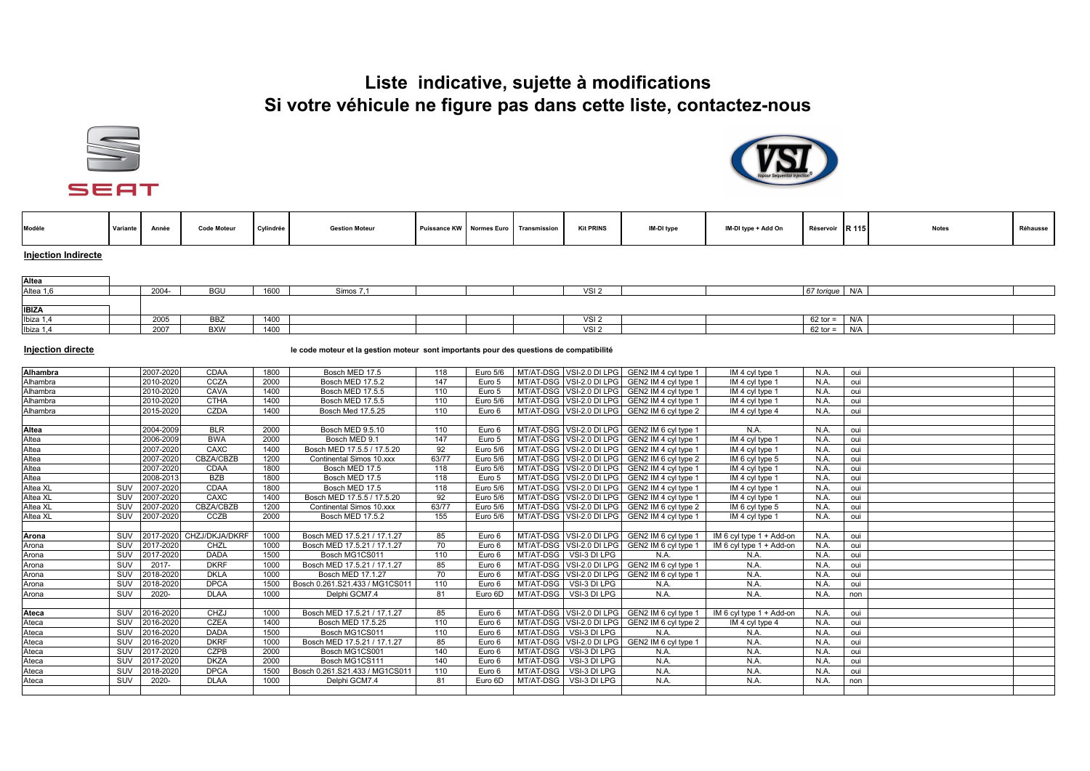## **Liste indicative, sujette à modifications Si votre véhicule ne figure pas dans cette liste, contactez-nous**





| Modèle                     | Variante | Année | <b>Code Moteu</b> | Cylindrée | <b>Gestion Moteur</b> |  | Puissance KW Normes Euro Transmission | <b>Kit PRINS</b> | IM-DI type | IM-DI type + Add On | Réservoir | <b>IR 1151</b> | <b>Notes</b> | Réhausse |
|----------------------------|----------|-------|-------------------|-----------|-----------------------|--|---------------------------------------|------------------|------------|---------------------|-----------|----------------|--------------|----------|
| <b>Injection Indirecte</b> |          |       |                   |           |                       |  |                                       |                  |            |                     |           |                |              |          |

| Altea        |      |                  |              |         |  |                  |  |            |     |  |
|--------------|------|------------------|--------------|---------|--|------------------|--|------------|-----|--|
| Altea 1,6    | 2004 | <b>BGU</b>       | 1000<br>1000 | Simos 7 |  | VSI 2            |  | 67 torique | N/A |  |
|              |      |                  |              |         |  |                  |  |            |     |  |
| <b>IBIZA</b> |      |                  |              |         |  |                  |  |            |     |  |
| Ibiza 1,4    | 2005 | ---<br><b>BB</b> | 1100<br>1400 |         |  | VSI 2            |  | $62$ tor = | N/A |  |
| Ibiza 1,4    | 2007 | <b>BXW</b>       | 1400         |         |  | VSI <sub>2</sub> |  | $62$ tor = | N/A |  |

## **Injection directe le code moteur et la gestion moteur sont importants pour des questions de compatibilité**

| <b>Alhambra</b>                  |            | 2007-2020 | CDAA                     | 1800 | Bosch MED 17.5                 | 118   | Euro 5/6 |           |                          | MT/AT-DSG VSI-2.0 DI LPG GEN2 IM 4 cvl type 1 | IM 4 cvl type 1          | N.A. | oui |  |
|----------------------------------|------------|-----------|--------------------------|------|--------------------------------|-------|----------|-----------|--------------------------|-----------------------------------------------|--------------------------|------|-----|--|
| Alhambra                         |            | 2010-2020 | CCZA                     | 2000 | Bosch MED 17.5.2               | 147   | Euro 5   |           |                          | MT/AT-DSG VSI-2.0 DI LPG GEN2 IM 4 cvl type 1 | IM 4 cyl type 1          | N.A. | oui |  |
| Alhambra                         |            | 2010-2020 | CAVA                     | 1400 | Bosch MED 17.5.5               | 110   | Euro 5   |           |                          | MT/AT-DSG VSI-2.0 DI LPG GEN2 IM 4 cyl type 1 | IM 4 cyl type 1          | N.A. | oui |  |
| Alhambra                         |            | 2010-2020 | <b>CTHA</b>              | 1400 | Bosch MED 17.5.5               | 110   | Euro 5/6 |           |                          | MT/AT-DSG VSI-2.0 DI LPG GEN2 IM 4 cvl type 1 | IM 4 cyl type 1          | N.A  | oui |  |
| Alhambra                         |            | 2015-2020 | CZDA                     | 1400 | Bosch Med 17.5.25              | 110   | Euro 6   |           |                          | MT/AT-DSG VSI-2.0 DI LPG GEN2 IM 6 cyl type 2 | IM 4 cyl type 4          | N.A. | oui |  |
|                                  |            |           |                          |      |                                |       |          |           |                          |                                               |                          |      |     |  |
| Altea                            |            | 2004-2009 | <b>BLR</b>               | 2000 | Bosch MED 9.5.10               | 110   | Euro 6   |           |                          | MT/AT-DSG VSI-2.0 DI LPG GEN2 IM 6 cvl type 1 | N.A.                     | N.A  | oui |  |
|                                  |            | 2006-2009 | <b>BWA</b>               | 2000 | Bosch MED 9.1                  | 147   | Euro 5   |           |                          | MT/AT-DSG VSI-2.0 DI LPG GEN2 IM 4 cyl type 1 | IM 4 cyl type 1          | N.A  | oui |  |
|                                  |            | 2007-2020 | CAXC                     | 1400 | Bosch MED 17.5.5 / 17.5.20     | 92    | Euro 5/6 |           |                          | MT/AT-DSG VSI-2.0 DI LPG GEN2 IM 4 cyl type 1 | IM 4 cyl type 1          | N.A. | oui |  |
|                                  |            | 2007-2020 | <b>CBZA/CBZB</b>         | 1200 | Continental Simos 10.xxx       | 63/77 | Euro 5/6 |           |                          | MT/AT-DSG VSI-2.0 DI LPG GEN2 IM 6 cyl type 2 | IM 6 cyl type 5          | N.A  | oui |  |
| Altea<br>Altea<br>Altea<br>Altea |            | 2007-2020 | CDAA                     | 1800 | Bosch MED 17.5                 | 118   | Euro 5/6 |           |                          | MT/AT-DSG VSI-2.0 DI LPG GEN2 IM 4 cyl type 1 | IM 4 cyl type 1          | N.A. | oui |  |
| Altea                            |            | 2008-2013 | <b>BZB</b>               | 1800 | Bosch MED 17.5                 | 118   | Euro 5   |           |                          | MT/AT-DSG VSI-2.0 DI LPG GEN2 IM 4 cyl type 1 | IM 4 cyl type 1          | N.A  | oui |  |
| Altea XL                         | SUV        | 2007-2020 | CDAA                     | 1800 | Bosch MED 17.5                 | 118   | Euro 5/6 |           |                          | MT/AT-DSG VSI-2.0 DI LPG GEN2 IM 4 cyl type 1 | IM 4 cyl type 1          | N.A  | oui |  |
| Altea XL                         | SUV        | 2007-2020 | CAXC                     | 1400 | Bosch MED 17.5.5 / 17.5.20     | 92    | Euro 5/6 |           |                          | MT/AT-DSG VSI-2.0 DI LPG GEN2 IM 4 cyl type 1 | IM 4 cyl type 1          | N.A  | oui |  |
| Altea XL                         | SUV        | 2007-2020 | CBZA/CBZB                | 1200 | Continental Simos 10.xxx       | 63/77 | Euro 5/6 |           |                          | MT/AT-DSG VSI-2.0 DI LPG GEN2 IM 6 cyl type 2 | IM 6 cyl type 5          | N.A  | oui |  |
| Altea XL                         | SUV        | 2007-2020 | CCZB                     | 2000 | Bosch MED 17.5.2               | 155   | Euro 5/6 |           |                          | MT/AT-DSG VSI-2.0 DI LPG GEN2 IM 4 cyl type 1 | IM 4 cyl type 1          | N.A. | oui |  |
|                                  |            |           |                          |      |                                |       |          |           |                          |                                               |                          |      |     |  |
| Arona                            | <b>SUV</b> |           | 2017-2020 CHZJ/DKJA/DKRF | 1000 | Bosch MED 17.5.21 / 17.1.27    | 85    | Euro 6   |           |                          | MT/AT-DSG VSI-2.0 DI LPG GEN2 IM 6 cyl type 1 | IM 6 cyl type 1 + Add-on | N.A. | oui |  |
| Arona                            | SUV        | 2017-2020 | CHZL                     | 1000 | Bosch MED 17.5.21 / 17.1.27    | 70    | Euro 6   |           |                          | MT/AT-DSG VSI-2.0 DI LPG GEN2 IM 6 cyl type 1 | IM 6 cyl type 1 + Add-on | N.A  | oui |  |
| Arona                            | SUV        | 2017-2020 | <b>DADA</b>              | 1500 | Bosch MG1CS011                 | 110   | Euro 6   |           | MT/AT-DSG VSI-3 DI LPG   | N.A.                                          | N.A.                     | N.A. | oui |  |
| Arona                            | SUV        | 2017-     | <b>DKRF</b>              | 1000 | Bosch MED 17.5.21 / 17.1.27    | 85    | Euro 6   |           |                          | MT/AT-DSG VSI-2.0 DI LPG GEN2 IM 6 cyl type 1 | N.A.                     | N.A. | oui |  |
| Arona                            | SUV        | 2018-2020 | <b>DKLA</b>              | 1000 | Bosch MED 17.1.27              | 70    | Euro 6   |           |                          | MT/AT-DSG VSI-2.0 DI LPG GEN2 IM 6 cyl type 1 | N.A.                     | N.A  | oui |  |
| Arona                            | SUV        | 2018-2020 | <b>DPCA</b>              | 1500 | Bosch 0.261.S21.433 / MG1CS011 | 110   | Euro 6   |           | MT/AT-DSG VSI-3 DI LPG   | N.A.                                          | N.A.                     | N.A  | oui |  |
| Arona                            | SUV        | 2020-     | <b>DLAA</b>              | 1000 | Delphi GCM7.4                  | 81    | Euro 6D  |           | MT/AT-DSG VSI-3 DI LPG   | N.A.                                          | N.A.                     | N.A. | non |  |
|                                  |            |           |                          |      |                                |       |          |           |                          |                                               |                          |      |     |  |
| Ateca                            | SUV        | 2016-2020 | CHZJ                     | 1000 | Bosch MED 17.5.21 / 17.1.27    | 85    | Euro 6   |           |                          | MT/AT-DSG VSI-2.0 DI LPG GEN2 IM 6 cvl type 1 | IM 6 cyl type 1 + Add-on | N.A  | oui |  |
| Ateca                            | SUV        | 2016-2020 | <b>CZEA</b>              | 1400 | Bosch MED 17.5.25              | 110   | Euro 6   |           | MT/AT-DSG VSI-2.0 DI LPG | GEN2 IM 6 cyl type 2                          | IM 4 cyl type 4          | N.A. | oui |  |
| Ateca                            | SUV        | 2016-2020 | <b>DADA</b>              | 1500 | Bosch MG1CS011                 | 110   | Euro 6   |           | MT/AT-DSG VSI-3 DI LPG   | N.A.                                          | N.A.                     | N.A  | oui |  |
| Ateca                            | SUV        | 2016-2020 | <b>DKRF</b>              | 1000 | Bosch MED 17.5.21 / 17.1.27    | 85    | Euro 6   |           |                          | MT/AT-DSG VSI-2.0 DI LPG GEN2 IM 6 cyl type 1 | N.A.                     | N.A  | oui |  |
| Ateca                            | SUV        | 2017-2020 | <b>CZPB</b>              | 2000 | Bosch MG1CS001                 | 140   | Euro 6   | MT/AT-DSG | VSI-3 DI LPG             | N.A.                                          | N.A.                     | N.A  | oui |  |
| Ateca                            | SUV        | 2017-2020 | <b>DKZA</b>              | 2000 | Bosch MG1CS111                 | 140   | Euro 6   |           | MT/AT-DSG VSI-3 DI LPG   | N.A.                                          | N.A.                     | N.A. | oui |  |
| Ateca                            | SUV        | 2018-2020 | <b>DPCA</b>              | 1500 | Bosch 0.261.S21.433 / MG1CS011 | 110   | Euro 6   | MT/AT-DSG | VSI-3 DI LPG             | N.A.                                          | N.A                      | N.A  | oui |  |
| Ateca                            | SUV        | 2020-     | <b>DLAA</b>              | 1000 | Delphi GCM7.4                  | 81    | Euro 6D  | MT/AT-DSG | VSI-3 DI LPG             | N.A.                                          | N.A.                     | N.A. | non |  |
|                                  |            |           |                          |      |                                |       |          |           |                          |                                               |                          |      |     |  |
|                                  |            |           |                          |      |                                |       |          |           |                          |                                               |                          |      |     |  |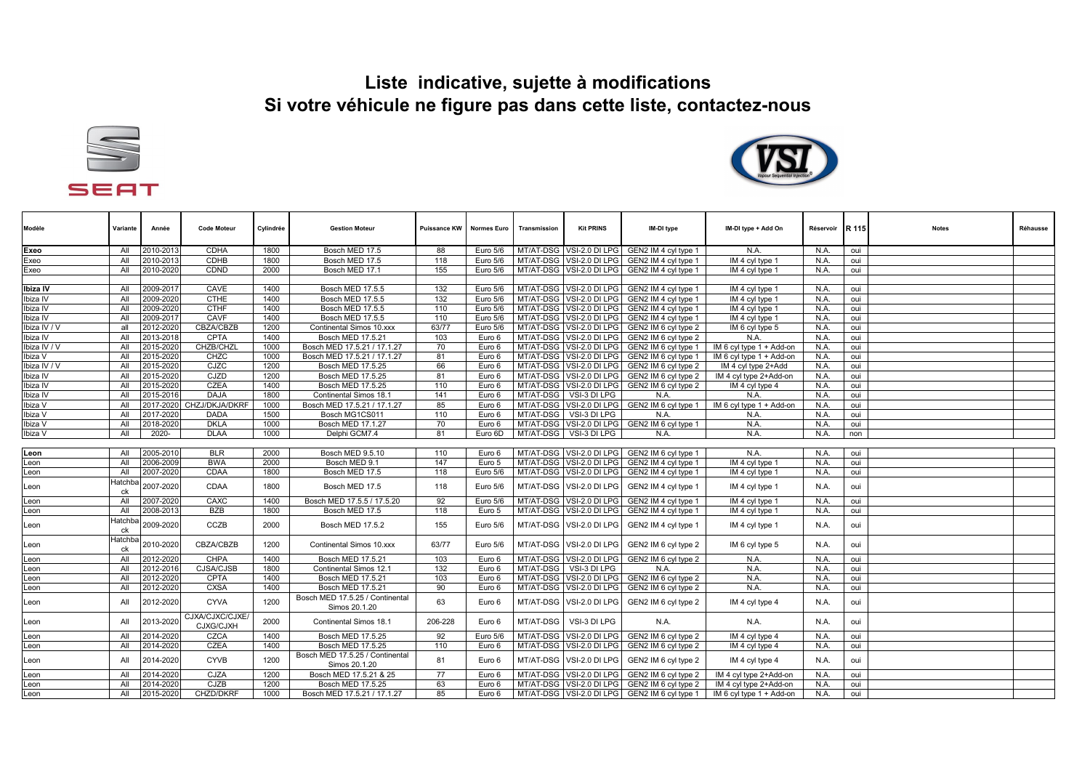## **Liste indicative, sujette à modifications Si votre véhicule ne figure pas dans cette liste, contactez-nous**





| Modèle       | Variante             | Année     | <b>Code Moteur</b>           | Cylindrée | <b>Gestion Moteur</b>                            | Puissance KW | <b>Normes Euro</b>   | Transmission | <b>Kit PRINS</b>         | IM-DI type                                    | IM-DI type + Add On      | Réservoir | <b>R</b> 115 | <b>Notes</b> | Réhausse |
|--------------|----------------------|-----------|------------------------------|-----------|--------------------------------------------------|--------------|----------------------|--------------|--------------------------|-----------------------------------------------|--------------------------|-----------|--------------|--------------|----------|
| Exeo         | All                  | 2010-2013 | <b>CDHA</b>                  | 1800      | Bosch MED 17.5                                   | 88           | Euro 5/6             | MT/AT-DSG    | VSI-2.0 DI LPG           | GEN2 IM 4 cyl type 1                          | N.A.                     | N.A.      | oui          |              |          |
| Exeo         | All                  | 2010-2013 | CDHB                         | 1800      | Bosch MED 17.5                                   | 118          | Euro 5/6             | MT/AT-DSG    | VSI-2.0 DI LPG           | GEN2 IM 4 cyl type 1                          | IM 4 cyl type 1          | N.A.      | oui          |              |          |
| Exeo         | All                  | 2010-2020 | CDND                         | 2000      | Bosch MED 17.1                                   | 155          | Euro 5/6             |              | MT/AT-DSG VSI-2.0 DI LPG | GEN2 IM 4 cyl type 1                          | IM 4 cyl type 1          | N.A.      | oui          |              |          |
|              |                      |           |                              |           |                                                  |              |                      |              |                          |                                               |                          |           |              |              |          |
| Ibiza IV     | All                  | 2009-2017 | CAVE                         | 1400      | Bosch MED 17.5.5                                 | 132          | Euro 5/6             | MT/AT-DSG    | VSI-2.0 DI LPG           | GEN2 IM 4 cyl type 1                          | IM 4 cyl type 1          | N.A.      | oui          |              |          |
| Ibiza IV     | All                  | 2009-2020 | <b>CTHE</b>                  | 1400      | Bosch MED 17.5.5                                 | 132          | Euro 5/6             |              | MT/AT-DSG VSI-2.0 DI LPG | GEN2 IM 4 cyl type 1                          | IM 4 cyl type 1          | N.A.      | oui          |              |          |
| Ibiza IV     | All                  | 2009-2020 | <b>CTHF</b>                  | 1400      | Bosch MED 17.5.5                                 | 110          | Euro 5/6             | MT/AT-DSG    | VSI-2.0 DI LPG           | GEN2 IM 4 cyl type 1                          | IM 4 cyl type 1          | N.A.      | oui          |              |          |
| Ibiza IV     | All                  | 2009-2017 | CAVF                         | 1400      | Bosch MED 17.5.5                                 | 110          | Euro 5/6             | MT/AT-DSG    | VSI-2.0 DI LPG           | GEN2 IM 4 cyl type 1                          | IM 4 cyl type 1          | N.A.      | oui          |              |          |
| Ibiza IV / V | all                  | 2012-2020 | <b>CBZA/CBZB</b>             | 1200      | Continental Simos 10.xxx                         | 63/77        | Euro $5\sqrt{6}$     | MT/AT-DSG    | VSI-2.0 DI LPG           | GEN2 IM 6 cyl type 2                          | IM 6 cyl type 5          | N.A.      | oui          |              |          |
| Ibiza IV     | All                  | 2013-2018 | CPTA                         | 1400      | Bosch MED 17.5.21                                | 103          | Euro 6               | MT/AT-DSG    | VSI-2.0 DI LPG           | GEN2 IM 6 cyl type 2                          | N.A.                     | N.A.      | oui          |              |          |
| Ibiza IV / V | All                  | 2015-2020 | CHZB/CHZL                    | 1000      | Bosch MED 17.5.21 / 17.1.27                      | 70           | Euro 6               | MT/AT-DSG    | VSI-2.0 DI LPG           | GEN2 IM 6 cyl type 1                          | IM 6 cyl type 1 + Add-on | N.A.      | oui          |              |          |
| Ibiza V      | All                  | 2015-2020 | CHZC                         | 1000      | Bosch MED 17.5.21 / 17.1.27                      | 81           | Euro 6               | MT/AT-DSG    | VSI-2.0 DI LPG           | GEN2 IM 6 cyl type 1                          | IM 6 cyl type 1 + Add-on | N.A.      | oui          |              |          |
| Ibiza IV / V | All                  | 2015-2020 | CJZC                         | 1200      | Bosch MED 17.5.25                                | 66           | Euro 6               | MT/AT-DSG    | VSI-2.0 DI LPG           | GEN2 IM 6 cyl type 2                          | IM 4 cyl type 2+Add      | N.A.      | oui          |              |          |
| Ibiza IV     | All                  | 2015-2020 | CJZD                         | 1200      | Bosch MED 17.5.25                                | 81           | Euro 6               | MT/AT-DSG    | VSI-2.0 DI LPG           | GEN2 IM 6 cyl type 2                          | IM 4 cyl type 2+Add-on   | N.A.      | oui          |              |          |
| Ibiza IV     | All                  | 2015-2020 | <b>CZEA</b>                  | 1400      | Bosch MED 17.5.25                                | 110          | Euro 6               |              | MT/AT-DSG VSI-2.0 DI LPG | GEN2 IM 6 cyl type 2                          | IM 4 cyl type 4          | N.A.      | oui          |              |          |
| Ibiza IV     | All                  | 2015-2016 | <b>DAJA</b>                  | 1800      | Continental Simos 18.1                           | 141          | Euro 6               | MT/AT-DSG    | VSI-3 DI LPG             | N.A                                           | N.A.                     | N.A.      | oui          |              |          |
| Ibiza V      | All                  |           | 2017-2020 CHZJ/DKJA/DKRF     | 1000      | Bosch MED 17.5.21 / 17.1.27                      | 85           | Euro 6               |              |                          | MT/AT-DSG VSI-2.0 DI LPG GEN2 IM 6 cyl type 1 | IM 6 cyl type 1 + Add-on | N.A.      | oui          |              |          |
| Ibiza V      | All                  | 2017-2020 | <b>DADA</b>                  | 1500      | Bosch MG1CS011                                   | 110          | Euro 6               | MT/AT-DSG    | VSI-3 DI LPG             | N.A                                           | N.A.                     | N.A.      | oui          |              |          |
| Ibiza V      | All                  | 2018-2020 | <b>DKLA</b>                  | 1000      | Bosch MED 17.1.27                                | 70           | Euro 6               |              | MT/AT-DSG VSI-2.0 DI LPG | GEN2 IM 6 cyl type 1                          | N.A.                     | N.A.      | oui          |              |          |
| Ibiza V      | All                  | 2020-     | <b>DLAA</b>                  | 1000      | Delphi GCM7.4                                    | 81           | Euro 6D              | MT/AT-DSG    | VSI-3 DI LPG             | N.A.                                          | N.A.                     | N.A.      | non          |              |          |
|              |                      |           |                              |           |                                                  |              |                      |              |                          |                                               |                          |           |              |              |          |
| Leon         | All                  | 2005-2010 | <b>BLR</b>                   | 2000      | Bosch MED 9.5.10                                 | 110          | Euro 6               |              |                          | MT/AT-DSG VSI-2.0 DI LPG GEN2 IM 6 cyl type 1 | N.A.                     | N.A.      | oui          |              |          |
| Leon         | All                  | 2006-2009 | <b>BWA</b>                   | 2000      | Bosch MED 9.1                                    | 147          | Euro 5               | MT/AT-DSG    | VSI-2.0 DI LPG           | GEN2 IM 4 cyl type 1                          | IM 4 cyl type 1          | N.A.      | oui          |              |          |
| Leon         | All                  | 2007-2020 | <b>CDAA</b>                  | 1800      | Bosch MED 17.5                                   | 118          | Euro 5/6             |              | MT/AT-DSG VSI-2.0 DI LPG | GEN2 IM 4 cyl type 1                          | IM 4 cyl type 1          | N.A.      | oui          |              |          |
| Leon         | Hatchba<br>ck        | 2007-2020 | CDAA                         | 1800      | Bosch MED 17.5                                   | 118          | Euro 5/6             | MT/AT-DSG    | VSI-2.0 DI LPG           | GEN2 IM 4 cyl type 1                          | IM 4 cyl type 1          | N.A.      | oui          |              |          |
| Leon         | All                  | 2007-2020 | CAXC                         | 1400      | Bosch MED 17.5.5 / 17.5.20                       | 92           | Euro $5\overline{6}$ |              |                          | MT/AT-DSG VSI-2.0 DI LPG GEN2 IM 4 cyl type 1 | IM 4 cyl type 1          | N.A.      | oui          |              |          |
| Leon         | All                  | 2008-2013 | <b>BZB</b>                   | 1800      | Bosch MED 17.5                                   | 118          | Euro 5               |              | MT/AT-DSG VSI-2.0 DI LPG | GEN2 IM 4 cyl type 1                          | IM 4 cyl type 1          | N.A.      | oui          |              |          |
| Leon         | Hatchba<br>ck        | 2009-2020 | CCZB                         | 2000      | Bosch MED 17.5.2                                 | 155          | Euro 5/6             |              | MT/AT-DSG VSI-2.0 DI LPG | GEN2 IM 4 cyl type 1                          | IM 4 cyl type 1          | N.A.      | oui          |              |          |
| Leon         | <b>Hatchba</b><br>ck | 2010-2020 | <b>CBZA/CBZB</b>             | 1200      | Continental Simos 10.xxx                         | 63/77        | Euro 5/6             | MT/AT-DSG    | VSI-2.0 DI LPG           | GEN2 IM 6 cyl type 2                          | IM 6 cyl type 5          | N.A.      | oui          |              |          |
| Leon         | All                  | 2012-2020 | CHPA                         | 1400      | Bosch MED 17.5.21                                | 103          | Euro 6               | MT/AT-DSG    | VSI-2.0 DI LPG           | GEN2 IM 6 cyl type 2                          | N.A.                     | N.A.      | oui          |              |          |
| Leon         | All                  | 2012-2016 | <b>CJSA/CJSB</b>             | 1800      | Continental Simos 12.1                           | 132          | Euro 6               | MT/AT-DSG    | VSI-3 DI LPG             | N.A                                           | N.A.                     | N.A.      | oui          |              |          |
| Leon         | All                  | 2012-2020 | <b>CPTA</b>                  | 1400      | Bosch MED 17.5.21                                | 103          | Euro 6               | MT/AT-DSG    | VSI-2.0 DI LPG           | GEN2 IM 6 cyl type 2                          | N.A.                     | N.A.      | oui          |              |          |
| Leon         | All                  | 2012-2020 | <b>CXSA</b>                  | 1400      | Bosch MED 17.5.21                                | 90           | Euro 6               | MT/AT-DSG    | VSI-2.0 DI LPG           | GEN2 IM 6 cyl type 2                          | N.A.                     | N.A.      | oui          |              |          |
| Leon         | All                  | 2012-2020 | <b>CYVA</b>                  | 1200      | Bosch MED 17.5.25 / Continental<br>Simos 20.1.20 | 63           | Euro 6               | MT/AT-DSG    | VSI-2.0 DI LPG           | GEN2 IM 6 cyl type 2                          | IM 4 cyl type 4          | N.A.      | oui          |              |          |
| Leon         | All                  | 2013-2020 | CJXA/CJXC/CJXE/<br>CJXG/CJXH | 2000      | Continental Simos 18.1                           | 206-228      | Euro 6               | MT/AT-DSG    | VSI-3 DI LPG             | N.A.                                          | N.A.                     | N.A.      | oui          |              |          |
| Leon         | All                  | 2014-2020 | <b>CZCA</b>                  | 1400      | Bosch MED 17.5.25                                | 92           | Euro 5/6             |              | MT/AT-DSG VSI-2.0 DI LPG | GEN2 IM 6 cyl type 2                          | IM 4 cyl type 4          | N.A.      | oui          |              |          |
| Leon         | All                  | 2014-2020 | <b>CZEA</b>                  | 1400      | Bosch MED 17.5.25                                | 110          | Euro 6               | MT/AT-DSG    | VSI-2.0 DI LPG           | GEN2 IM 6 cyl type 2                          | IM 4 cyl type 4          | N.A.      | oui          |              |          |
| Leon         | All                  | 2014-2020 | <b>CYVB</b>                  | 1200      | Bosch MED 17.5.25 / Continental<br>Simos 20.1.20 | 81           | Euro 6               | MT/AT-DSG    | VSI-2.0 DI LPG           | GEN2 IM 6 cyl type 2                          | IM 4 cyl type 4          | N.A.      | oui          |              |          |
| Leon         | All                  | 2014-2020 | CJZA                         | 1200      | Bosch MED 17.5.21 & 25                           | 77           | Euro 6               | MT/AT-DSG    | VSI-2.0 DI LPG           | GEN2 IM 6 cyl type 2                          | IM 4 cyl type 2+Add-on   | N.A.      | oui          |              |          |
| Leon         | All                  | 2014-2020 | CJZB                         | 1200      | Bosch MED 17.5.25                                | 63           | Euro 6               | MT/AT-DSG    | VSI-2.0 DI LPG           | GEN2 IM 6 cvl type 2                          | IM 4 cvl tvpe 2+Add-on   | N.A.      | oui          |              |          |
| Leon         | All                  | 2015-2020 | CHZD/DKRF                    | 1000      | Bosch MED 17.5.21 / 17.1.27                      | 85           | Euro 6               |              |                          | MT/AT-DSG VSI-2.0 DI LPG GEN2 IM 6 cyl type 1 | IM 6 cyl type 1 + Add-on | N.A.      | oui          |              |          |
|              |                      |           |                              |           |                                                  |              |                      |              |                          |                                               |                          |           |              |              |          |